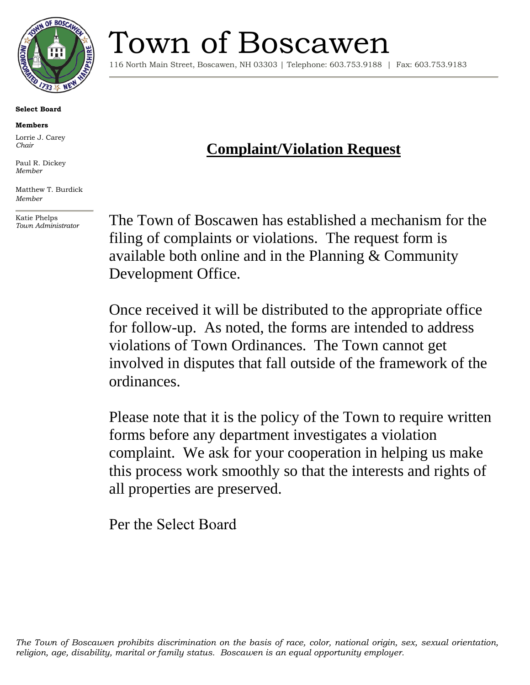

# Town of Boscawen

116 North Main Street, Boscawen, NH 03303 | Telephone: 603.753.9188 | Fax: 603.753.9183

### **Select Board**

#### **Members**

Lorrie J. Carey *Chair* 

Paul R. Dickey *Member* 

Matthew T. Burdick *Member* 

Katie Phelps *Town Administrator* 

## **Complaint/Violation Request**

The Town of Boscawen has established a mechanism for the filing of complaints or violations. The request form is available both online and in the Planning & Community Development Office.

Once received it will be distributed to the appropriate office for follow-up. As noted, the forms are intended to address violations of Town Ordinances. The Town cannot get involved in disputes that fall outside of the framework of the ordinances.

Please note that it is the policy of the Town to require written forms before any department investigates a violation complaint. We ask for your cooperation in helping us make this process work smoothly so that the interests and rights of all properties are preserved.

Per the Select Board